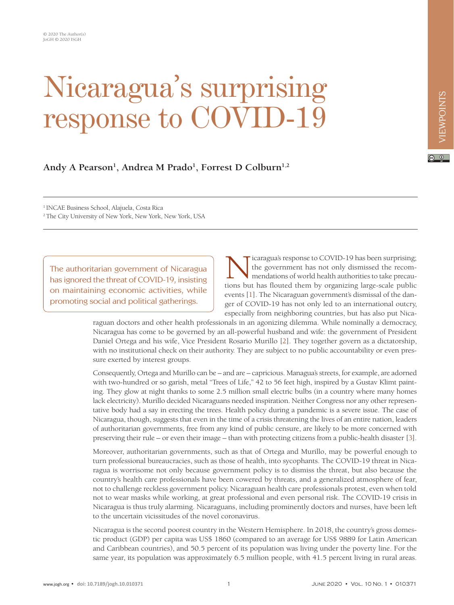# Nicaragua's surprising response to COVID-1

## Andy A Pearson<sup>1</sup>, Andrea M Prado<sup>1</sup>, Forrest D Colburn<sup>1,2</sup>

1 INCAE Business School, Alajuela, Costa Rica 2 The City University of New York, New York, New York, USA

The authoritarian government of Nicaragua has ignored the threat of COVID-19, insisting on maintaining economic activities, while promoting social and political gatherings.

icaragua's response to COVID-19 has been surprising; the government has not only dismissed the recommendations of world health authorities to take precautions but has flouted them by organizing large-scale public events [\[1\]](#page-4-0). The Nicaraguan government's dismissal of the danger of COVID-19 has not only led to an international outcry, especially from neighboring countries, but has also put Nica-

raguan doctors and other health professionals in an agonizing dilemma. While nominally a democracy, Nicaragua has come to be governed by an all-powerful husband and wife: the government of President Daniel Ortega and his wife, Vice President Rosario Murillo [[2\]](#page-4-1). They together govern as a dictatorship, with no institutional check on their authority. They are subject to no public accountability or even pressure exerted by interest groups.

Consequently, Ortega and Murillo can be – and are – capricious. Managua's streets, for example, are adorned with two-hundred or so garish, metal "Trees of Life," 42 to 56 feet high, inspired by a Gustav Klimt painting. They glow at night thanks to some 2.5 million small electric bulbs (in a country where many homes lack electricity). Murillo decided Nicaraguans needed inspiration. Neither Congress nor any other representative body had a say in erecting the trees. Health policy during a pandemic is a severe issue. The case of Nicaragua, though, suggests that even in the time of a crisis threatening the lives of an entire nation, leaders of authoritarian governments, free from any kind of public censure, are likely to be more concerned with preserving their rule – or even their image – than with protecting citizens from a public-health disaster [\[3](#page-4-2)].

Moreover, authoritarian governments, such as that of Ortega and Murillo, may be powerful enough to turn professional bureaucracies, such as those of health, into sycophants. The COVID-19 threat in Nicaragua is worrisome not only because government policy is to dismiss the threat, but also because the country's health care professionals have been cowered by threats, and a generalized atmosphere of fear, not to challenge reckless government policy. Nicaraguan health care professionals protest, even when told not to wear masks while working, at great professional and even personal risk. The COVID-19 crisis in Nicaragua is thus truly alarming. Nicaraguans, including prominently doctors and nurses, have been left to the uncertain vicissitudes of the novel coronavirus.

Nicaragua is the second poorest country in the Western Hemisphere. In 2018, the country's gross domestic product (GDP) per capita was US\$ 1860 (compared to an average for US\$ 9889 for Latin American and Caribbean countries), and 50.5 percent of its population was living under the poverty line. For the same year, its population was approximately 6.5 million people, with 41.5 percent living in rural areas.

 $\boxed{6}$  0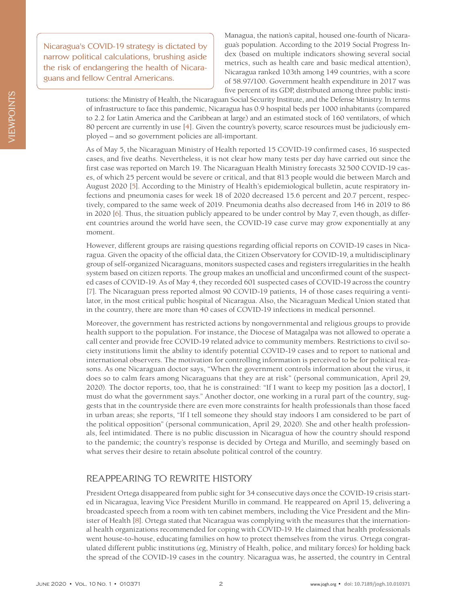Nicaragua's COVID-19 strategy is dictated by narrow political calculations, brushing aside the risk of endangering the health of Nicaraguans and fellow Central Americans.

Managua, the nation's capital, housed one-fourth of Nicaragua's population. According to the 2019 Social Progress Index (based on multiple indicators showing several social metrics, such as health care and basic medical attention), Nicaragua ranked 103th among 149 countries, with a score of 58.97/100. Government health expenditure in 2017 was five percent of its GDP, distributed among three public insti-

tutions: the Ministry of Health, the Nicaraguan Social Security Institute, and the Defense Ministry. In terms of infrastructure to face this pandemic, Nicaragua has 0.9 hospital beds per 1000 inhabitants (compared to 2.2 for Latin America and the Caribbean at large) and an estimated stock of 160 ventilators, of which 80 percent are currently in use [\[4\]](#page-4-3). Given the country's poverty, scarce resources must be judiciously employed – and so government policies are all-important.

As of May 5, the Nicaraguan Ministry of Health reported 15 COVID-19 confirmed cases, 16 suspected cases, and five deaths. Nevertheless, it is not clear how many tests per day have carried out since the first case was reported on March 19. The Nicaraguan Health Ministry forecasts 32500 COVID-19 cases, of which 25 percent would be severe or critical, and that 813 people would die between March and August 2020 [\[5\]](#page-4-4). According to the Ministry of Health's epidemiological bulletin, acute respiratory infections and pneumonia cases for week 18 of 2020 decreased 15.6 percent and 20.7 percent, respectively, compared to the same week of 2019. Pneumonia deaths also decreased from 146 in 2019 to 86 in 2020 [\[6\]](#page-4-5). Thus, the situation publicly appeared to be under control by May 7, even though, as different countries around the world have seen, the COVID-19 case curve may grow exponentially at any moment.

However, different groups are raising questions regarding official reports on COVID-19 cases in Nicaragua. Given the opacity of the official data, the Citizen Observatory for COVID-19, a multidisciplinary group of self-organized Nicaraguans, monitors suspected cases and registers irregularities in the health system based on citizen reports. The group makes an unofficial and unconfirmed count of the suspected cases of COVID-19. As of May 4, they recorded 601 suspected cases of COVID-19 across the country [\[7](#page-4-6)]. The Nicaraguan press reported almost 90 COVID-19 patients, 14 of those cases requiring a ventilator, in the most critical public hospital of Nicaragua. Also, the Nicaraguan Medical Union stated that in the country, there are more than 40 cases of COVID-19 infections in medical personnel.

Moreover, the government has restricted actions by nongovernmental and religious groups to provide health support to the population. For instance, the Diocese of Matagalpa was not allowed to operate a call center and provide free COVID-19 related advice to community members. Restrictions to civil society institutions limit the ability to identify potential COVID-19 cases and to report to national and international observers. The motivation for controlling information is perceived to be for political reasons. As one Nicaraguan doctor says, "When the government controls information about the virus, it does so to calm fears among Nicaraguans that they are at risk" (personal communication, April 29, 2020). The doctor reports, too, that he is constrained: "If I want to keep my position [as a doctor], I must do what the government says." Another doctor, one working in a rural part of the country, suggests that in the countryside there are even more constraints for health professionals than those faced in urban areas; she reports, "If I tell someone they should stay indoors I am considered to be part of the political opposition" (personal communication, April 29, 2020). She and other health professionals, feel intimidated. There is no public discussion in Nicaragua of how the country should respond to the pandemic; the country's response is decided by Ortega and Murillo, and seemingly based on what serves their desire to retain absolute political control of the country.

#### REAPPEARING TO REWRITE HISTORY

President Ortega disappeared from public sight for 34 consecutive days once the COVID-19 crisis started in Nicaragua, leaving Vice President Murillo in command. He reappeared on April 15, delivering a broadcasted speech from a room with ten cabinet members, including the Vice President and the Minister of Health [\[8](#page-4-7)]. Ortega stated that Nicaragua was complying with the measures that the international health organizations recommended for coping with COVID-19. He claimed that health professionals went house-to-house, educating families on how to protect themselves from the virus. Ortega congratulated different public institutions (eg, Ministry of Health, police, and military forces) for holding back the spread of the COVID-19 cases in the country. Nicaragua was, he asserted, the country in Central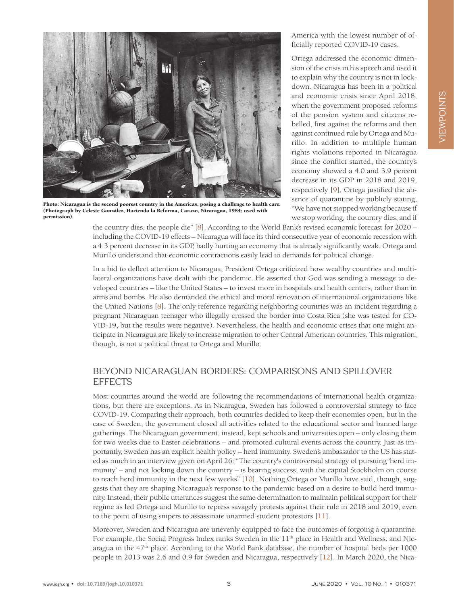

Photo: Nicaragua is the second poorest country in the Americas, posing a challenge to health care. (Photograph by Celeste González, Haciendo la Reforma, Carazo, Nicaragua, 1984; used with permission).

America with the lowest number of officially reported COVID-19 cases.

Ortega addressed the economic dimension of the crisis in his speech and used it to explain why the country is not in lockdown. Nicaragua has been in a political and economic crisis since April 2018, when the government proposed reforms of the pension system and citizens rebelled, first against the reforms and then against continued rule by Ortega and Murillo. In addition to multiple human rights violations reported in Nicaragua since the conflict started, the country's economy showed a 4.0 and 3.9 percent decrease in its GDP in 2018 and 2019, respectively [\[9](#page-4-8)]. Ortega justified the absence of quarantine by publicly stating, "We have not stopped working because if we stop working, the country dies, and if

the country dies, the people die" [\[8](#page-4-7)]. According to the World Bank's revised economic forecast for 2020 – including the COVID-19 effects – Nicaragua will face its third consecutive year of economic recession with a 4.3 percent decrease in its GDP, badly hurting an economy that is already significantly weak. Ortega and Murillo understand that economic contractions easily lead to demands for political change.

In a bid to deflect attention to Nicaragua, President Ortega criticized how wealthy countries and multilateral organizations have dealt with the pandemic. He asserted that God was sending a message to developed countries – like the United States – to invest more in hospitals and health centers, rather than in arms and bombs. He also demanded the ethical and moral renovation of international organizations like the United Nations [\[8\]](#page-4-7). The only reference regarding neighboring countries was an incident regarding a pregnant Nicaraguan teenager who illegally crossed the border into Costa Rica (she was tested for CO-VID-19, but the results were negative). Nevertheless, the health and economic crises that one might anticipate in Nicaragua are likely to increase migration to other Central American countries. This migration, though, is not a political threat to Ortega and Murillo.

### BEYOND NICARAGUAN BORDERS: COMPARISONS AND SPILLOVER **EFFECTS**

Most countries around the world are following the recommendations of international health organizations, but there are exceptions. As in Nicaragua, Sweden has followed a controversial strategy to face COVID-19. Comparing their approach, both countries decided to keep their economies open, but in the case of Sweden, the government closed all activities related to the educational sector and banned large gatherings. The Nicaraguan government, instead, kept schools and universities open – only closing them for two weeks due to Easter celebrations – and promoted cultural events across the country. Just as importantly, Sweden has an explicit health policy – herd immunity. Sweden's ambassador to the US has stated as much in an interview given on April 26: "The country's controversial strategy of pursuing 'herd immunity' – and not locking down the country – is bearing success, with the capital Stockholm on course to reach herd immunity in the next few weeks" [[10](#page-4-9)]. Nothing Ortega or Murillo have said, though, suggests that they are shaping Nicaragua's response to the pandemic based on a desire to build herd immunity. Instead, their public utterances suggest the same determination to maintain political support for their regime as led Ortega and Murillo to repress savagely protests against their rule in 2018 and 2019, even to the point of using snipers to assassinate unarmed student protestors [[11\]](#page-4-10).

Moreover, Sweden and Nicaragua are unevenly equipped to face the outcomes of forgoing a quarantine. For example, the Social Progress Index ranks Sweden in the  $11<sup>th</sup>$  place in Health and Wellness, and Nicaragua in the 47th place. According to the World Bank database, the number of hospital beds per 1000 people in 2013 was 2.6 and 0.9 for Sweden and Nicaragua, respectively [\[12\]](#page-4-11). In March 2020, the Nica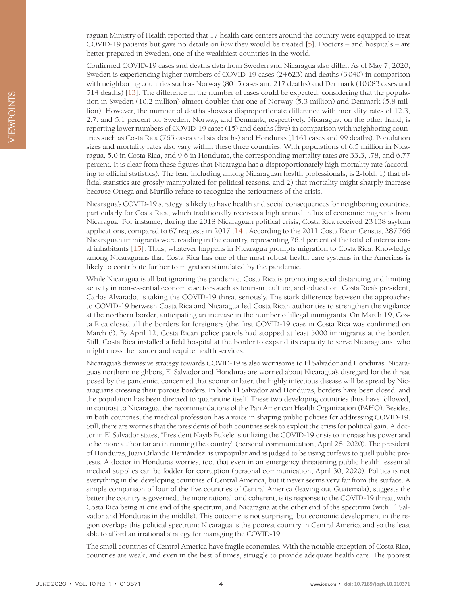Confirmed COVID-19 cases and deaths data from Sweden and Nicaragua also differ. As of May 7, 2020, Sweden is experiencing higher numbers of COVID-19 cases (24623) and deaths (3040) in comparison with neighboring countries such as Norway (8015 cases and 217 deaths) and Denmark (10083 cases and 514 deaths) [[13](#page-4-12)]. The difference in the number of cases could be expected, considering that the population in Sweden (10.2 million) almost doubles that one of Norway (5.3 million) and Denmark (5.8 million). However, the number of deaths shows a disproportionate difference with mortality rates of 12.3, 2.7, and 5.1 percent for Sweden, Norway, and Denmark, respectively. Nicaragua, on the other hand, is reporting lower numbers of COVID-19 cases (15) and deaths (five) in comparison with neighboring countries such as Costa Rica (765 cases and six deaths) and Honduras (1461 cases and 99 deaths). Population sizes and mortality rates also vary within these three countries. With populations of 6.5 million in Nicaragua, 5.0 in Costa Rica, and 9.6 in Honduras, the corresponding mortality rates are 33.3, .78, and 6.77 percent. It is clear from these figures that Nicaragua has a disproportionately high mortality rate (according to official statistics). The fear, including among Nicaraguan health professionals, is 2-fold: 1) that official statistics are grossly manipulated for political reasons, and 2) that mortality might sharply increase because Ortega and Murillo refuse to recognize the seriousness of the crisis.

Nicaragua's COVID-19 strategy is likely to have health and social consequences for neighboring countries, particularly for Costa Rica, which traditionally receives a high annual influx of economic migrants from Nicaragua. For instance, during the 2018 Nicaraguan political crisis, Costa Rica received 23138 asylum applications, compared to 67 requests in 2017 [[14\]](#page-4-13). According to the 2011 Costa Rican Census, 287766 Nicaraguan immigrants were residing in the country, representing 76.4 percent of the total of international inhabitants [\[15\]](#page-4-14). Thus, whatever happens in Nicaragua prompts migration to Costa Rica. Knowledge among Nicaraguans that Costa Rica has one of the most robust health care systems in the Americas is likely to contribute further to migration stimulated by the pandemic.

While Nicaragua is all but ignoring the pandemic, Costa Rica is promoting social distancing and limiting activity in non-essential economic sectors such as tourism, culture, and education. Costa Rica's president, Carlos Alvarado, is taking the COVID-19 threat seriously. The stark difference between the approaches to COVID-19 between Costa Rica and Nicaragua led Costa Rican authorities to strengthen the vigilance at the northern border, anticipating an increase in the number of illegal immigrants. On March 19, Costa Rica closed all the borders for foreigners (the first COVID-19 case in Costa Rica was confirmed on March 6). By April 12, Costa Rican police patrols had stopped at least 5000 immigrants at the border. Still, Costa Rica installed a field hospital at the border to expand its capacity to serve Nicaraguans, who might cross the border and require health services.

Nicaragua's dismissive strategy towards COVID-19 is also worrisome to El Salvador and Honduras. Nicaragua's northern neighbors, El Salvador and Honduras are worried about Nicaragua's disregard for the threat posed by the pandemic, concerned that sooner or later, the highly infectious disease will be spread by Nicaraguans crossing their porous borders. In both El Salvador and Honduras, borders have been closed, and the population has been directed to quarantine itself. These two developing countries thus have followed, in contrast to Nicaragua, the recommendations of the Pan American Health Organization (PAHO). Besides, in both countries, the medical profession has a voice in shaping public policies for addressing COVID-19. Still, there are worries that the presidents of both countries seek to exploit the crisis for political gain. A doctor in El Salvador states, "President Nayib Bukele is utilizing the COVID-19 crisis to increase his power and to be more authoritarian in running the country" (personal communication, April 28, 2020). The president of Honduras, Juan Orlando Hernández, is unpopular and is judged to be using curfews to quell public protests. A doctor in Honduras worries, too, that even in an emergency threatening public health, essential medical supplies can be fodder for corruption (personal communication, April 30, 2020). Politics is not everything in the developing countries of Central America, but it never seems very far from the surface. A simple comparison of four of the five countries of Central America (leaving out Guatemala), suggests the better the country is governed, the more rational, and coherent, is its response to the COVID-19 threat, with Costa Rica being at one end of the spectrum, and Nicaragua at the other end of the spectrum (with El Salvador and Honduras in the middle). This outcome is not surprising, but economic development in the region overlaps this political spectrum: Nicaragua is the poorest country in Central America and so the least able to afford an irrational strategy for managing the COVID-19.

The small countries of Central America have fragile economies. With the notable exception of Costa Rica, countries are weak, and even in the best of times, struggle to provide adequate health care. The poorest